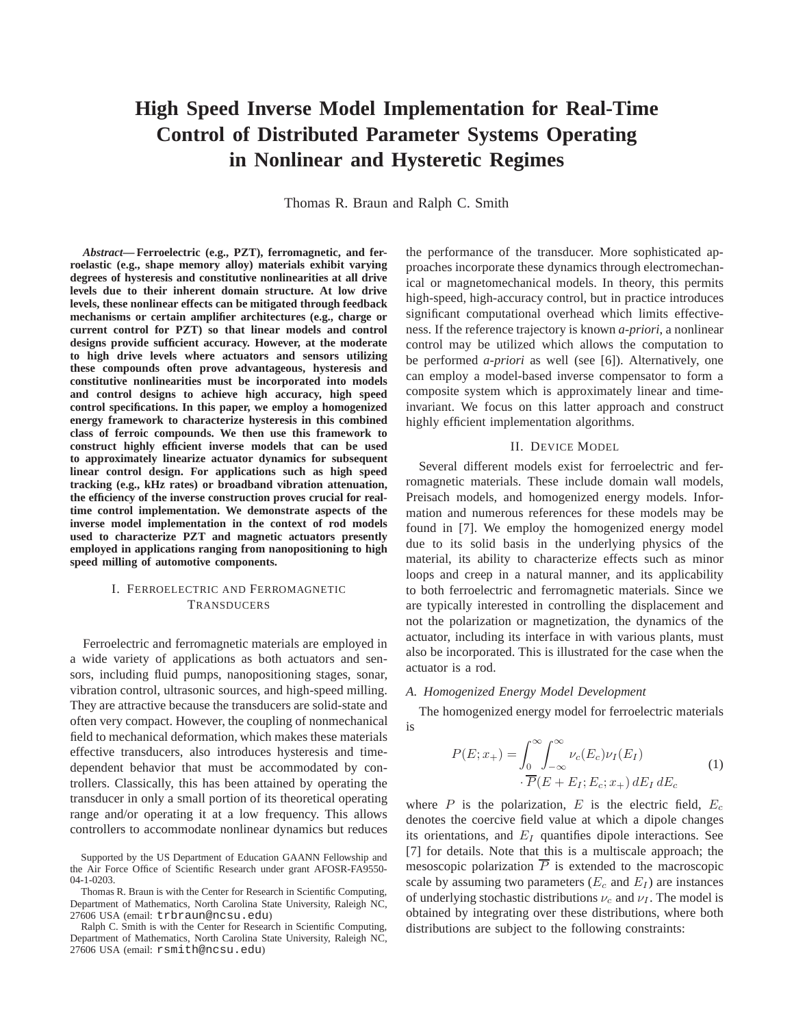# **High Speed Inverse Model Implementation for Real-Time Control of Distributed Parameter Systems Operating in Nonlinear and Hysteretic Regimes**

Thomas R. Braun and Ralph C. Smith

*Abstract***— Ferroelectric (e.g., PZT), ferromagnetic, and ferroelastic (e.g., shape memory alloy) materials exhibit varying degrees of hysteresis and constitutive nonlinearities at all drive levels due to their inherent domain structure. At low drive levels, these nonlinear effects can be mitigated through feedback mechanisms or certain amplifier architectures (e.g., charge or current control for PZT) so that linear models and control designs provide sufficient accuracy. However, at the moderate to high drive levels where actuators and sensors utilizing these compounds often prove advantageous, hysteresis and constitutive nonlinearities must be incorporated into models and control designs to achieve high accuracy, high speed control specifications. In this paper, we employ a homogenized energy framework to characterize hysteresis in this combined class of ferroic compounds. We then use this framework to construct highly efficient inverse models that can be used to approximately linearize actuator dynamics for subsequent linear control design. For applications such as high speed tracking (e.g., kHz rates) or broadband vibration attenuation, the efficiency of the inverse construction proves crucial for realtime control implementation. We demonstrate aspects of the inverse model implementation in the context of rod models used to characterize PZT and magnetic actuators presently employed in applications ranging from nanopositioning to high speed milling of automotive components.**

## I. FERROELECTRIC AND FERROMAGNETIC **TRANSDUCERS**

Ferroelectric and ferromagnetic materials are employed in a wide variety of applications as both actuators and sensors, including fluid pumps, nanopositioning stages, sonar, vibration control, ultrasonic sources, and high-speed milling. They are attractive because the transducers are solid-state and often very compact. However, the coupling of nonmechanical field to mechanical deformation, which makes these materials effective transducers, also introduces hysteresis and timedependent behavior that must be accommodated by controllers. Classically, this has been attained by operating the transducer in only a small portion of its theoretical operating range and/or operating it at a low frequency. This allows controllers to accommodate nonlinear dynamics but reduces

the performance of the transducer. More sophisticated approaches incorporate these dynamics through electromechanical or magnetomechanical models. In theory, this permits high-speed, high-accuracy control, but in practice introduces significant computational overhead which limits effectiveness. If the reference trajectory is known *a-priori*, a nonlinear control may be utilized which allows the computation to be performed *a-priori* as well (see [6]). Alternatively, one can employ a model-based inverse compensator to form a composite system which is approximately linear and timeinvariant. We focus on this latter approach and construct highly efficient implementation algorithms.

## II. DEVICE MODEL

Several different models exist for ferroelectric and ferromagnetic materials. These include domain wall models, Preisach models, and homogenized energy models. Information and numerous references for these models may be found in [7]. We employ the homogenized energy model due to its solid basis in the underlying physics of the material, its ability to characterize effects such as minor loops and creep in a natural manner, and its applicability to both ferroelectric and ferromagnetic materials. Since we are typically interested in controlling the displacement and not the polarization or magnetization, the dynamics of the actuator, including its interface in with various plants, must also be incorporated. This is illustrated for the case when the actuator is a rod.

### *A. Homogenized Energy Model Development*

The homogenized energy model for ferroelectric materials is

$$
P(E; x_{+}) = \int_{0}^{\infty} \int_{-\infty}^{\infty} \nu_{c}(E_{c}) \nu_{I}(E_{I})
$$
  
 
$$
\cdot \overline{P}(E + E_{I}; E_{c}; x_{+}) dE_{I} dE_{c}
$$
 (1)

where P is the polarization, E is the electric field,  $E_c$ denotes the coercive field value at which a dipole changes its orientations, and  $E_I$  quantifies dipole interactions. See [7] for details. Note that this is a multiscale approach; the mesoscopic polarization  $\overline{P}$  is extended to the macroscopic scale by assuming two parameters  $(E_c \text{ and } E_I)$  are instances of underlying stochastic distributions  $\nu_c$  and  $\nu_I$ . The model is obtained by integrating over these distributions, where both distributions are subject to the following constraints:

Supported by the US Department of Education GAANN Fellowship and the Air Force Office of Scientific Research under grant AFOSR-FA9550- 04-1-0203.

Thomas R. Braun is with the Center for Research in Scientific Computing, Department of Mathematics, North Carolina State University, Raleigh NC, 27606 USA (email: trbraun@ncsu.edu)

Ralph C. Smith is with the Center for Research in Scientific Computing, Department of Mathematics, North Carolina State University, Raleigh NC, 27606 USA (email: rsmith@ncsu.edu)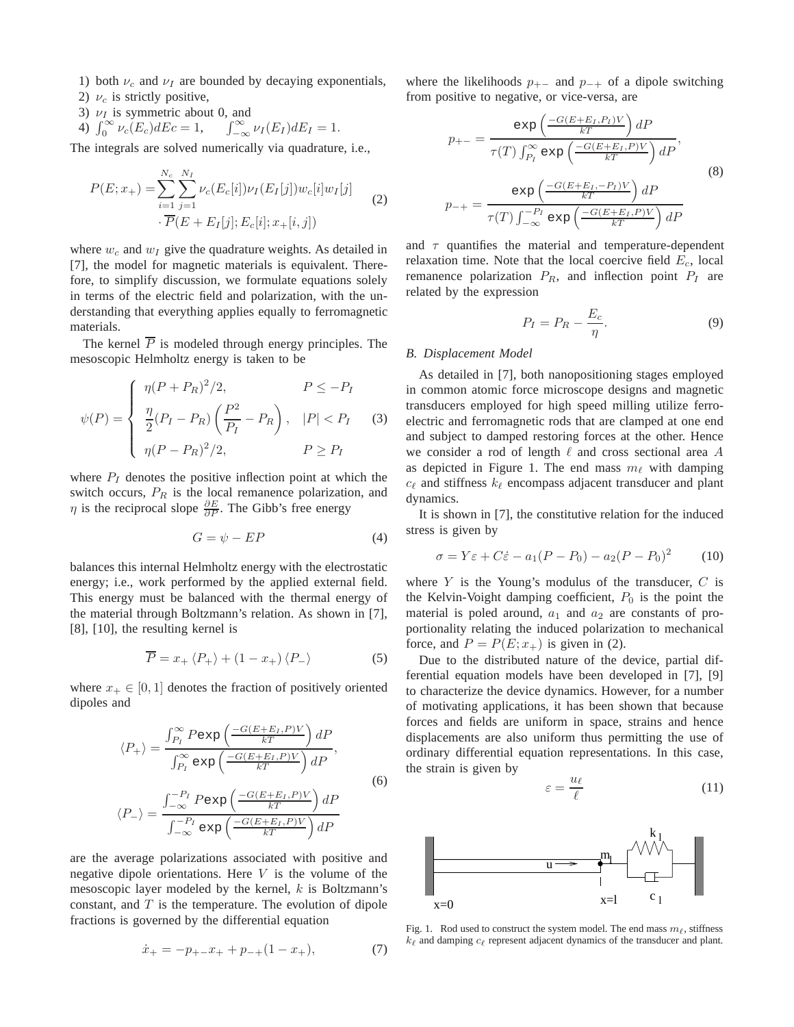- 1) both  $\nu_c$  and  $\nu_I$  are bounded by decaying exponentials,
- 2)  $\nu_c$  is strictly positive,
- 
- 3)  $\nu_I$  is symmetric about 0, and<br>4)  $\int_0^\infty \nu_c(E_c) dE_c = 1$ ,  $\int_{-\infty}^\infty \nu_I(E_I) dE_I = 1$ .

The integrals are solved numerically via quadrature, i.e.,

$$
P(E; x_{+}) = \sum_{i=1}^{N_c} \sum_{j=1}^{N_I} \nu_c(E_c[i]) \nu_I(E_I[j]) w_c[i] w_I[j] \qquad (2)
$$
  
 
$$
\cdot \overline{P}(E + E_I[j]; E_c[i]; x_{+}[i, j])
$$

where  $w_c$  and  $w_I$  give the quadrature weights. As detailed in [7], the model for magnetic materials is equivalent. Therefore, to simplify discussion, we formulate equations solely in terms of the electric field and polarization, with the understanding that everything applies equally to ferromagnetic materials.

The kernel  $\overline{P}$  is modeled through energy principles. The mesoscopic Helmholtz energy is taken to be

$$
\psi(P) = \begin{cases} \eta(P + P_R)^2/2, & P \le -P_I \\ \frac{\eta}{2}(P_I - P_R) \left(\frac{P^2}{P_I} - P_R\right), & |P| < P_I \end{cases} \tag{3}
$$
\n
$$
\eta(P - P_R)^2/2, \qquad P \ge P_I
$$

where  $P_I$  denotes the positive inflection point at which the switch occurs,  $P_R$  is the local remanence polarization, and  $\eta$  is the reciprocal slope  $\frac{\partial E}{\partial P}$ . The Gibb's free energy

$$
G = \psi - EP \tag{4}
$$

balances this internal Helmholtz energy with the electrostatic energy; i.e., work performed by the applied external field. This energy must be balanced with the thermal energy of the material through Boltzmann's relation. As shown in [7], [8], [10], the resulting kernel is

$$
\overline{P} = x_+ \langle P_+ \rangle + (1 - x_+) \langle P_- \rangle \tag{5}
$$

where  $x_+ \in [0, 1]$  denotes the fraction of positively oriented dipoles and

$$
\langle P_{+}\rangle = \frac{\int_{P_{I}}^{\infty} P \exp\left(\frac{-G(E+E_{I},P)V}{kT}\right) dP}{\int_{P_{I}}^{\infty} \exp\left(\frac{-G(E+E_{I},P)V}{kT}\right) dP},
$$

$$
\langle P_{-}\rangle = \frac{\int_{-\infty}^{-P_{I}} P \exp\left(\frac{-G(E+E_{I},P)V}{kT}\right) dP}{\int_{-\infty}^{-P_{I}} \exp\left(\frac{-G(E+E_{I},P)V}{kT}\right) dP} \tag{6}
$$

are the average polarizations associated with positive and negative dipole orientations. Here  $V$  is the volume of the mesoscopic layer modeled by the kernel,  $k$  is Boltzmann's constant, and  $T$  is the temperature. The evolution of dipole fractions is governed by the differential equation

$$
\dot{x}_{+} = -p_{+-}x_{+} + p_{-+}(1 - x_{+}),\tag{7}
$$

where the likelihoods  $p_{+-}$  and  $p_{-+}$  of a dipole switching from positive to negative, or vice-versa, are

$$
p_{+-} = \frac{\exp\left(\frac{-G(E + E_I, P_I)V}{kT}\right)dP}{\tau(T)\int_{P_I}^{\infty} \exp\left(\frac{-G(E + E_I, P)V}{kT}\right)dP},
$$
  
\n
$$
p_{-+} = \frac{\exp\left(\frac{-G(E + E_I, -P_I)V}{kT}\right)dP}{\tau(T)\int_{-\infty}^{-P_I} \exp\left(\frac{-G(E + E_I, P)V}{kT}\right)dP}
$$
\n(8)

and  $\tau$  quantifies the material and temperature-dependent relaxation time. Note that the local coercive field  $E_c$ , local remanence polarization  $P_R$ , and inflection point  $P_I$  are related by the expression

$$
P_I = P_R - \frac{E_c}{\eta}.\tag{9}
$$

#### *B. Displacement Model*

As detailed in [7], both nanopositioning stages employed in common atomic force microscope designs and magnetic transducers employed for high speed milling utilize ferroelectric and ferromagnetic rods that are clamped at one end and subject to damped restoring forces at the other. Hence we consider a rod of length  $\ell$  and cross sectional area A as depicted in Figure 1. The end mass  $m_\ell$  with damping  $c_{\ell}$  and stiffness  $k_{\ell}$  encompass adjacent transducer and plant dynamics.

It is shown in [7], the constitutive relation for the induced stress is given by

$$
\sigma = Y\varepsilon + C\dot{\varepsilon} - a_1(P - P_0) - a_2(P - P_0)^2 \tag{10}
$$

where  $Y$  is the Young's modulus of the transducer,  $C$  is the Kelvin-Voight damping coefficient,  $P_0$  is the point the material is poled around,  $a_1$  and  $a_2$  are constants of proportionality relating the induced polarization to mechanical force, and  $P = P(E; x_+)$  is given in (2).

Due to the distributed nature of the device, partial differential equation models have been developed in [7], [9] to characterize the device dynamics. However, for a number of motivating applications, it has been shown that because forces and fields are uniform in space, strains and hence displacements are also uniform thus permitting the use of ordinary differential equation representations. In this case, the strain is given by

$$
\varepsilon = \frac{u_{\ell}}{\ell} \tag{11}
$$



Fig. 1. Rod used to construct the system model. The end mass  $m_\ell$ , stiffness  $k_{\ell}$  and damping  $c_{\ell}$  represent adjacent dynamics of the transducer and plant.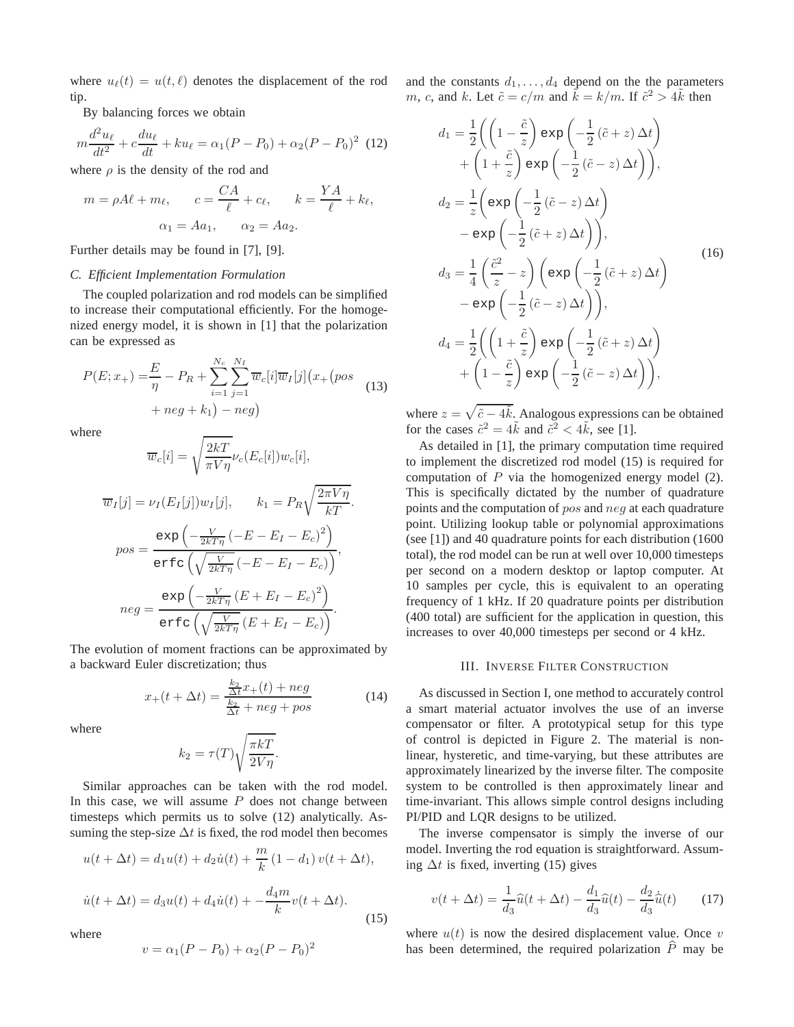where  $u_{\ell}(t) = u(t, \ell)$  denotes the displacement of the rod tip.

By balancing forces we obtain

$$
m\frac{d^2u_{\ell}}{dt^2} + c\frac{du_{\ell}}{dt} + ku_{\ell} = \alpha_1(P - P_0) + \alpha_2(P - P_0)^2
$$
 (12)

where  $\rho$  is the density of the rod and

$$
m = \rho A\ell + m_{\ell}, \qquad c = \frac{CA}{\ell} + c_{\ell}, \qquad k = \frac{YA}{\ell} + k_{\ell},
$$

$$
\alpha_1 = Aa_1, \qquad \alpha_2 = Aa_2.
$$

Further details may be found in [7], [9].

#### *C. Efficient Implementation Formulation*

The coupled polarization and rod models can be simplified to increase their computational efficiently. For the homogenized energy model, it is shown in [1] that the polarization can be expressed as

$$
P(E; x_{+}) = \frac{E}{\eta} - P_{R} + \sum_{i=1}^{N_{c}} \sum_{j=1}^{N_{I}} \overline{w}_{c}[i] \overline{w}_{I}[j] (x_{+}(pos \quad (13) + neg + k_{1}) - neg)
$$

where

$$
\overline{w}_c[i] = \sqrt{\frac{2kT}{\pi V\eta}} \nu_c(E_c[i]) w_c[i],
$$
  

$$
\overline{w}_I[j] = \nu_I(E_I[j]) w_I[j], \qquad k_1 = P_R \sqrt{\frac{2\pi V\eta}{kT}}.
$$
  

$$
pos = \frac{\exp\left(-\frac{V}{2kT\eta} \left(-E - E_I - E_c\right)^2\right)}{\exp\left(\sqrt{\frac{V}{2kT\eta}} \left(-E - E_I - E_c\right)\right)},
$$
  

$$
neg = \frac{\exp\left(-\frac{V}{2kT\eta} \left(E + E_I - E_c\right)^2\right)}{\exp\left(\sqrt{\frac{V}{2kT\eta}} \left(E + E_I - E_c\right)\right)}.
$$

The evolution of moment fractions can be approximated by a backward Euler discretization; thus

$$
x_{+}(t + \Delta t) = \frac{\frac{k_{2}}{\Delta t}x_{+}(t) + neg}{\frac{k_{2}}{\Delta t} + neg + pos}
$$
 (14)

where

$$
k_2 = \tau(T) \sqrt{\frac{\pi kT}{2V\eta}}.
$$

Similar approaches can be taken with the rod model. In this case, we will assume  $P$  does not change between timesteps which permits us to solve (12) analytically. Assuming the step-size  $\Delta t$  is fixed, the rod model then becomes

$$
u(t + \Delta t) = d_1 u(t) + d_2 \dot{u}(t) + \frac{m}{k} (1 - d_1) v(t + \Delta t),
$$
  

$$
\dot{u}(t + \Delta t) = d_3 u(t) + d_4 \dot{u}(t) + -\frac{d_4 m}{k} v(t + \Delta t).
$$
 (15)

where

$$
v = \alpha_1 (P - P_0) + \alpha_2 (P - P_0)^2
$$

and the constants  $d_1, \ldots, d_4$  depend on the the parameters m, c, and k. Let  $\tilde{c} = c/m$  and  $\tilde{k} = k/m$ . If  $\tilde{c}^2 > 4\tilde{k}$  then

$$
d_1 = \frac{1}{2} \left( \left( 1 - \frac{\tilde{c}}{z} \right) \exp \left( -\frac{1}{2} \left( \tilde{c} + z \right) \Delta t \right) + \left( 1 + \frac{\tilde{c}}{z} \right) \exp \left( -\frac{1}{2} \left( \tilde{c} - z \right) \Delta t \right) \right),
$$
  
\n
$$
d_2 = \frac{1}{z} \left( \exp \left( -\frac{1}{2} \left( \tilde{c} - z \right) \Delta t \right) - \exp \left( -\frac{1}{2} \left( \tilde{c} + z \right) \Delta t \right) \right),
$$
  
\n
$$
d_3 = \frac{1}{4} \left( \frac{\tilde{c}^2}{z} - z \right) \left( \exp \left( -\frac{1}{2} \left( \tilde{c} + z \right) \Delta t \right) - \exp \left( -\frac{1}{2} \left( \tilde{c} - z \right) \Delta t \right) \right),
$$
  
\n
$$
d_4 = \frac{1}{2} \left( \left( 1 + \frac{\tilde{c}}{z} \right) \exp \left( -\frac{1}{2} \left( \tilde{c} + z \right) \Delta t \right) + \left( 1 - \frac{\tilde{c}}{z} \right) \exp \left( -\frac{1}{2} \left( \tilde{c} - z \right) \Delta t \right) \right),
$$
  
\n(16)

where  $z = \sqrt{\tilde{c} - 4\tilde{k}}$ . Analogous expressions can be obtained for the cases  $\tilde{c}^2 = 4\tilde{k}$  and  $\tilde{c}^2 < 4\tilde{k}$ , see [1].

As detailed in [1], the primary computation time required to implement the discretized rod model (15) is required for computation of  $P$  via the homogenized energy model (2). This is specifically dictated by the number of quadrature points and the computation of pos and neg at each quadrature point. Utilizing lookup table or polynomial approximations (see [1]) and 40 quadrature points for each distribution (1600 total), the rod model can be run at well over 10,000 timesteps per second on a modern desktop or laptop computer. At 10 samples per cycle, this is equivalent to an operating frequency of 1 kHz. If 20 quadrature points per distribution (400 total) are sufficient for the application in question, this increases to over 40,000 timesteps per second or 4 kHz.

#### III. INVERSE FILTER CONSTRUCTION

As discussed in Section I, one method to accurately control a smart material actuator involves the use of an inverse compensator or filter. A prototypical setup for this type of control is depicted in Figure 2. The material is nonlinear, hysteretic, and time-varying, but these attributes are approximately linearized by the inverse filter. The composite system to be controlled is then approximately linear and time-invariant. This allows simple control designs including PI/PID and LQR designs to be utilized.

The inverse compensator is simply the inverse of our model. Inverting the rod equation is straightforward. Assuming  $\Delta t$  is fixed, inverting (15) gives

$$
v(t + \Delta t) = \frac{1}{d_3}\widehat{u}(t + \Delta t) - \frac{d_1}{d_3}\widehat{u}(t) - \frac{d_2}{d_3}\widehat{u}(t)
$$
(17)

where  $u(t)$  is now the desired displacement value. Once v has been determined, the required polarization  $\hat{P}$  may be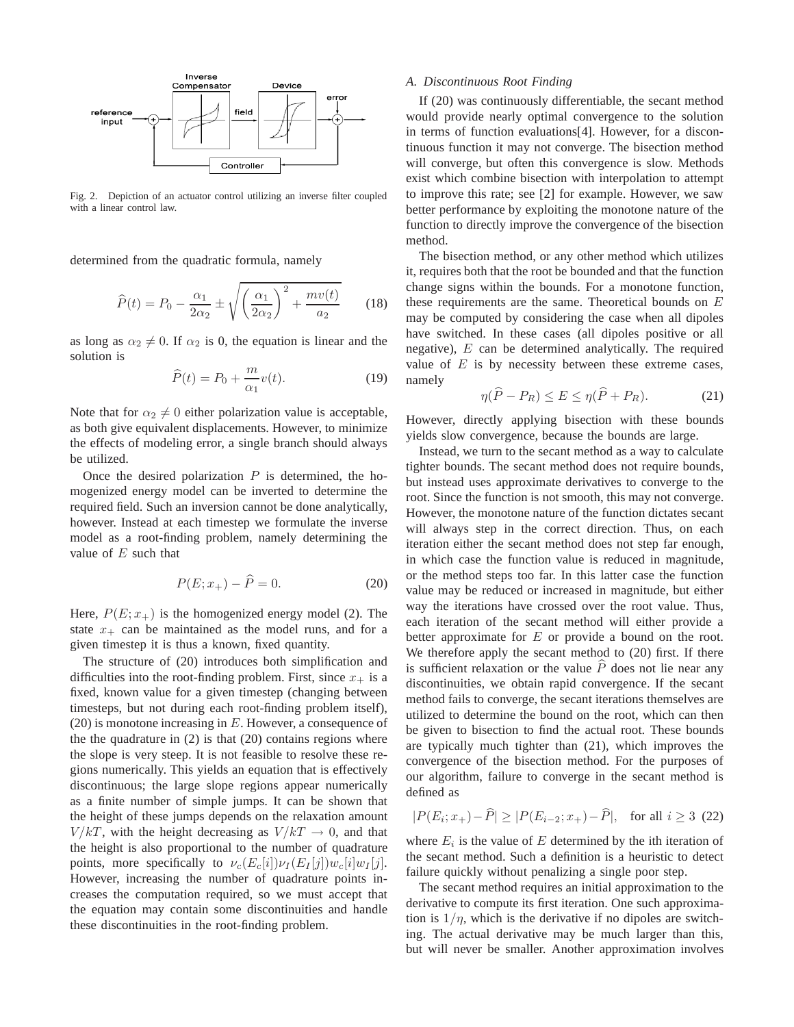

Fig. 2. Depiction of an actuator control utilizing an inverse filter coupled with a linear control law.

determined from the quadratic formula, namely

$$
\widehat{P}(t) = P_0 - \frac{\alpha_1}{2\alpha_2} \pm \sqrt{\left(\frac{\alpha_1}{2\alpha_2}\right)^2 + \frac{mv(t)}{a_2}} \qquad (18)
$$

as long as  $\alpha_2 \neq 0$ . If  $\alpha_2$  is 0, the equation is linear and the solution is

$$
\widehat{P}(t) = P_0 + \frac{m}{\alpha_1} v(t).
$$
\n(19)

Note that for  $\alpha_2 \neq 0$  either polarization value is acceptable, as both give equivalent displacements. However, to minimize the effects of modeling error, a single branch should always be utilized.

Once the desired polarization  $P$  is determined, the homogenized energy model can be inverted to determine the required field. Such an inversion cannot be done analytically, however. Instead at each timestep we formulate the inverse model as a root-finding problem, namely determining the value of  $E$  such that

$$
P(E; x_{+}) - \hat{P} = 0.
$$
 (20)

Here,  $P(E; x<sub>+</sub>)$  is the homogenized energy model (2). The state  $x_+$  can be maintained as the model runs, and for a given timestep it is thus a known, fixed quantity.

The structure of (20) introduces both simplification and difficulties into the root-finding problem. First, since  $x_+$  is a fixed, known value for a given timestep (changing between timesteps, but not during each root-finding problem itself),  $(20)$  is monotone increasing in E. However, a consequence of the the quadrature in  $(2)$  is that  $(20)$  contains regions where the slope is very steep. It is not feasible to resolve these regions numerically. This yields an equation that is effectively discontinuous; the large slope regions appear numerically as a finite number of simple jumps. It can be shown that the height of these jumps depends on the relaxation amount  $V/kT$ , with the height decreasing as  $V/kT \rightarrow 0$ , and that the height is also proportional to the number of quadrature points, more specifically to  $\nu_c(E_c[i])\nu_I(E_I[j])w_c[i]w_I[j]$ . However, increasing the number of quadrature points increases the computation required, so we must accept that the equation may contain some discontinuities and handle these discontinuities in the root-finding problem.

#### *A. Discontinuous Root Finding*

If (20) was continuously differentiable, the secant method would provide nearly optimal convergence to the solution in terms of function evaluations[4]. However, for a discontinuous function it may not converge. The bisection method will converge, but often this convergence is slow. Methods exist which combine bisection with interpolation to attempt to improve this rate; see [2] for example. However, we saw better performance by exploiting the monotone nature of the function to directly improve the convergence of the bisection method.

The bisection method, or any other method which utilizes it, requires both that the root be bounded and that the function change signs within the bounds. For a monotone function, these requirements are the same. Theoretical bounds on E may be computed by considering the case when all dipoles have switched. In these cases (all dipoles positive or all negative), E can be determined analytically. The required value of  $E$  is by necessity between these extreme cases, namely

$$
\eta(\widehat{P} - P_R) \le E \le \eta(\widehat{P} + P_R). \tag{21}
$$

However, directly applying bisection with these bounds yields slow convergence, because the bounds are large.

Instead, we turn to the secant method as a way to calculate tighter bounds. The secant method does not require bounds, but instead uses approximate derivatives to converge to the root. Since the function is not smooth, this may not converge. However, the monotone nature of the function dictates secant will always step in the correct direction. Thus, on each iteration either the secant method does not step far enough, in which case the function value is reduced in magnitude, or the method steps too far. In this latter case the function value may be reduced or increased in magnitude, but either way the iterations have crossed over the root value. Thus, each iteration of the secant method will either provide a better approximate for  $E$  or provide a bound on the root. We therefore apply the secant method to  $(20)$  first. If there is sufficient relaxation or the value  $\hat{P}$  does not lie near any discontinuities, we obtain rapid convergence. If the secant method fails to converge, the secant iterations themselves are utilized to determine the bound on the root, which can then be given to bisection to find the actual root. These bounds are typically much tighter than (21), which improves the convergence of the bisection method. For the purposes of our algorithm, failure to converge in the secant method is defined as

$$
|P(E_i; x_+) - \hat{P}| \ge |P(E_{i-2}; x_+) - \hat{P}|, \text{ for all } i \ge 3 \text{ (22)}
$$

where  $E_i$  is the value of E determined by the ith iteration of the secant method. Such a definition is a heuristic to detect failure quickly without penalizing a single poor step.

The secant method requires an initial approximation to the derivative to compute its first iteration. One such approximation is  $1/\eta$ , which is the derivative if no dipoles are switching. The actual derivative may be much larger than this, but will never be smaller. Another approximation involves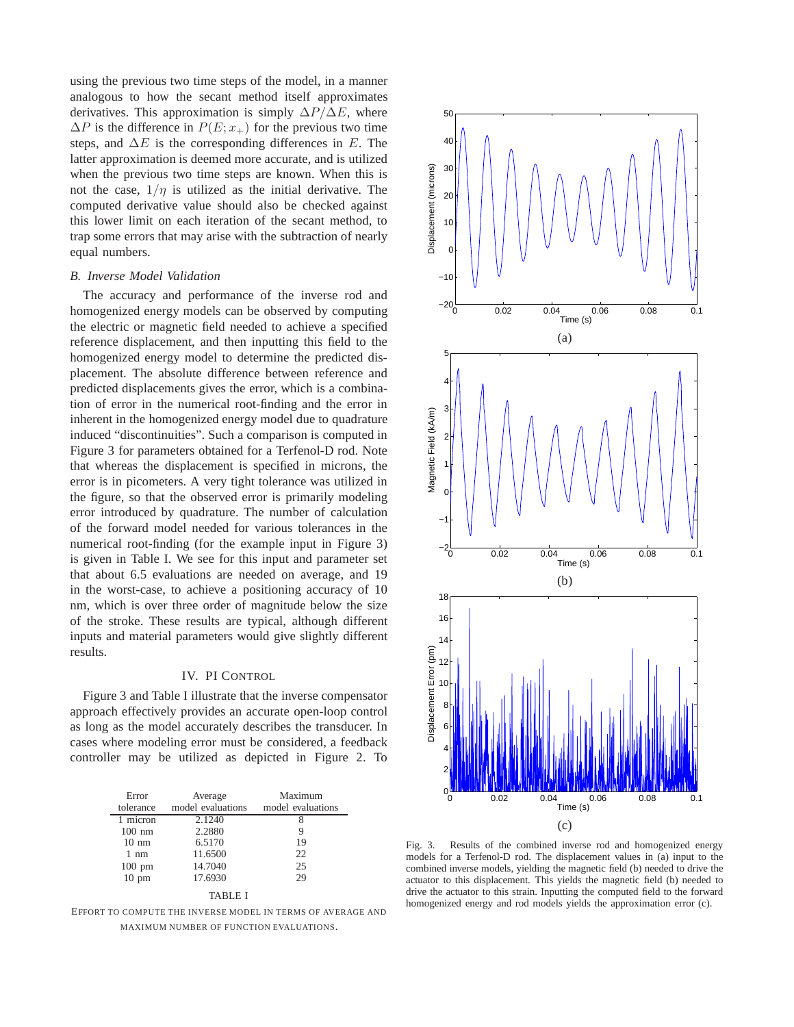using the previous two time steps of the model, in a manner analogous to how the secant method itself approximates derivatives. This approximation is simply  $\Delta P/\Delta E$ , where  $\Delta P$  is the difference in  $P(E; x_+)$  for the previous two time steps, and  $\Delta E$  is the corresponding differences in E. The latter approximation is deemed more accurate, and is utilized when the previous two time steps are known. When this is not the case,  $1/\eta$  is utilized as the initial derivative. The computed derivative value should also be checked against this lower limit on each iteration of the secant method, to trap some errors that may arise with the subtraction of nearly equal numbers.

## *B. Inverse Model Validation*

The accuracy and performance of the inverse rod and homogenized energy models can be observed by computing the electric or magnetic field needed to achieve a specified reference displacement, and then inputting this field to the homogenized energy model to determine the predicted displacement. The absolute difference between reference and predicted displacements gives the error, which is a combination of error in the numerical root-finding and the error in inherent in the homogenized energy model due to quadrature induced "discontinuities". Such a comparison is computed in Figure 3 for parameters obtained for a Terfenol-D rod. Note that whereas the displacement is specified in microns, the error is in picometers. A very tight tolerance was utilized in the figure, so that the observed error is primarily modeling error introduced by quadrature. The number of calculation of the forward model needed for various tolerances in the numerical root-finding (for the example input in Figure 3) is given in Table I. We see for this input and parameter set that about 6.5 evaluations are needed on average, and 19 in the worst-case, to achieve a positioning accuracy of 10 nm, which is over three order of magnitude below the size of the stroke. These results are typical, although different inputs and material parameters would give slightly different results.

# IV. PI CONTROL

Figure 3 and Table I illustrate that the inverse compensator approach effectively provides an accurate open-loop control as long as the model accurately describes the transducer. In cases where modeling error must be considered, a feedback controller may be utilized as depicted in Figure 2. To

| Error                 | Average           | Maximum           |
|-----------------------|-------------------|-------------------|
| tolerance             | model evaluations | model evaluations |
| $\overline{1}$ micron | 2.1240            |                   |
| $100 \text{ nm}$      | 2.2880            | 9                 |
| $10 \text{ nm}$       | 6.5170            | 19                |
| $1$ nm                | 11.6500           | 22                |
| $100 \text{ pm}$      | 14.7040           | 25                |
| $10 \text{ pm}$       | 17.6930           | 29                |
|                       |                   |                   |

TABLE I

EFFORT TO COMPUTE THE INVERSE MODEL IN TERMS OF AVERAGE AND MAXIMUM NUMBER OF FUNCTION EVALUATIONS.



Fig. 3. Results of the combined inverse rod and homogenized energy models for a Terfenol-D rod. The displacement values in (a) input to the combined inverse models, yielding the magnetic field (b) needed to drive the actuator to this displacement. This yields the magnetic field (b) needed to drive the actuator to this strain. Inputting the computed field to the forward homogenized energy and rod models yields the approximation error (c).